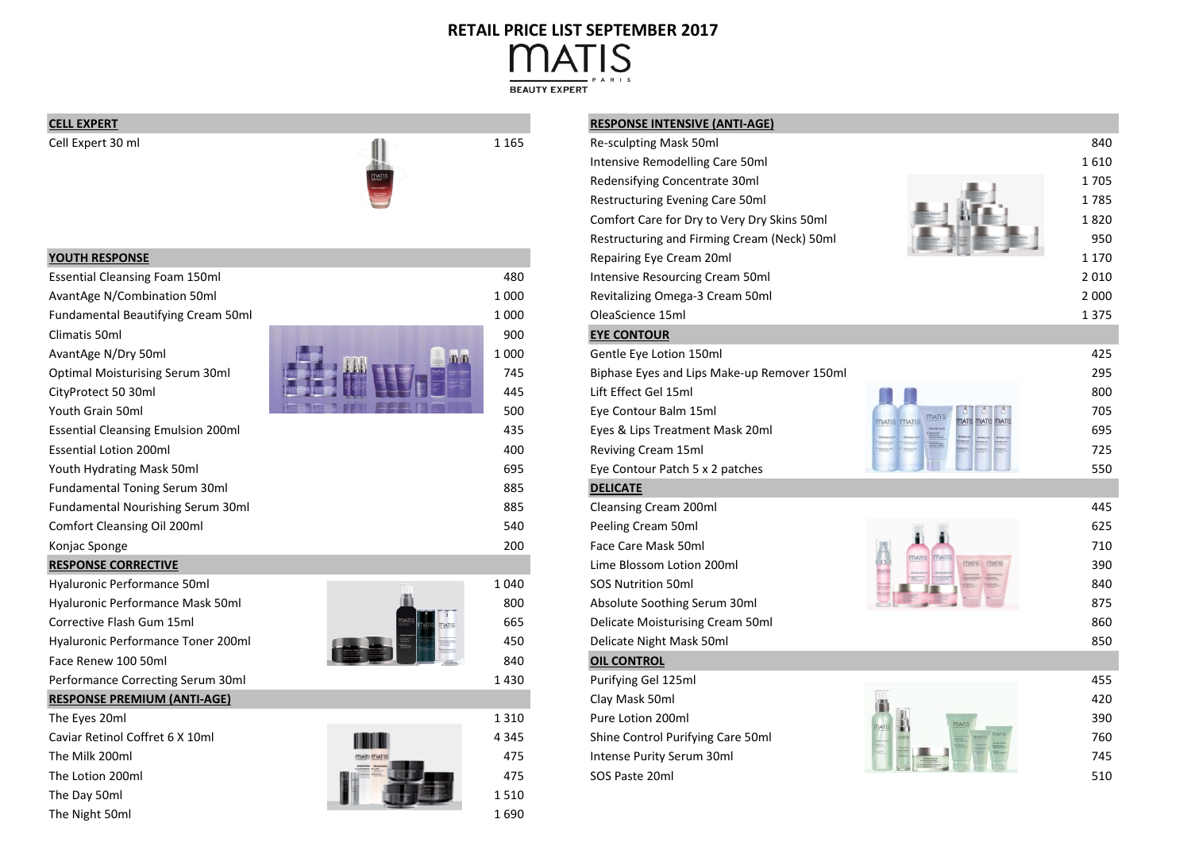## **RETAIL PRICE LIST SEPTEMBER 2017ATIS** M

**BEAUTY EXPERT** 



| <b>Essential Cleansing Foam 150ml</b>     |    | 480     | <b>Intensive Reso</b> |
|-------------------------------------------|----|---------|-----------------------|
| AvantAge N/Combination 50ml               |    | 1 000   | Revitalizing On       |
| Fundamental Beautifying Cream 50ml        |    | 1 0 0 0 | OleaScience 15        |
| Climatis 50ml                             |    | 900     | <b>EYE CONTOUR</b>    |
| AvantAge N/Dry 50ml                       | mm | 1 0 0 0 | Gentle Eye Lot        |
| <b>Optimal Moisturising Serum 30ml</b>    |    | 745     | Biphase Eyes a        |
| CityProtect 50 30ml                       |    | 445     | Lift Effect Gel 1     |
| Youth Grain 50ml                          |    | 500     | Eye Contour Ba        |
| <b>Essential Cleansing Emulsion 200ml</b> |    | 435     | Eyes & Lips Tre       |
| <b>Essential Lotion 200ml</b>             |    | 400     | <b>Reviving Crean</b> |
| Youth Hydrating Mask 50ml                 |    | 695     | Eye Contour Pa        |
| <b>Fundamental Toning Serum 30ml</b>      |    | 885     | <b>DELICATE</b>       |
| Fundamental Nourishing Serum 30ml         |    | 885     | <b>Cleansing Crea</b> |
| Comfort Cleansing Oil 200ml               |    | 540     | Peeling Cream         |
| Konjac Sponge                             |    | 200     | Face Care Mas         |
|                                           |    |         |                       |

## **RESPONSE CORRECTIVE**





# **CELL EXPERT RESPONSE INTENSIVE (ANTI-AGE)**

| ALLL LAT LINI                             |         | NESFONSE INTENSIVE (ANTI-AGE)               |                    |         |
|-------------------------------------------|---------|---------------------------------------------|--------------------|---------|
| Cell Expert 30 ml                         | 1 1 6 5 | Re-sculpting Mask 50ml                      |                    | 840     |
|                                           |         | Intensive Remodelling Care 50ml             |                    | 1610    |
|                                           |         | Redensifying Concentrate 30ml               |                    | 1705    |
|                                           |         | Restructuring Evening Care 50ml             |                    | 1785    |
|                                           |         | Comfort Care for Dry to Very Dry Skins 50ml |                    | 1820    |
|                                           |         | Restructuring and Firming Cream (Neck) 50ml |                    | 950     |
| <b>YOUTH RESPONSE</b>                     |         | Repairing Eye Cream 20ml                    |                    | 1 1 7 0 |
| <b>Essential Cleansing Foam 150ml</b>     | 480     | Intensive Resourcing Cream 50ml             |                    | 2 0 1 0 |
| <b>AvantAge N/Combination 50ml</b>        | 1 0 0 0 | Revitalizing Omega-3 Cream 50ml             |                    | 2 0 0 0 |
| Fundamental Beautifying Cream 50ml        | 1 0 0 0 | OleaScience 15ml                            |                    | 1 3 7 5 |
| Climatis 50ml                             | 900     | <b>EYE CONTOUR</b>                          |                    |         |
| AvantAge N/Dry 50ml                       | 1 0 0 0 | Gentle Eye Lotion 150ml                     |                    | 425     |
| <b>Optimal Moisturising Serum 30ml</b>    | 745     | Biphase Eyes and Lips Make-up Remover 150ml |                    | 295     |
| CityProtect 50 30ml                       | 445     | Lift Effect Gel 15ml                        |                    | 800     |
| Youth Grain 50ml                          | 500     | Eye Contour Balm 15ml                       |                    | 705     |
| <b>Essential Cleansing Emulsion 200ml</b> | 435     | Eyes & Lips Treatment Mask 20ml             | <b>MATIS MATI</b>  | 695     |
| <b>Essential Lotion 200ml</b>             | 400     | Reviving Cream 15ml                         |                    | 725     |
| Youth Hydrating Mask 50ml                 | 695     | Eye Contour Patch 5 x 2 patches             |                    | 550     |
| <b>Fundamental Toning Serum 30ml</b>      | 885     | <b>DELICATE</b>                             |                    |         |
| Fundamental Nourishing Serum 30ml         | 885     | Cleansing Cream 200ml                       |                    | 445     |
| Comfort Cleansing Oil 200ml               | 540     | Peeling Cream 50ml                          |                    | 625     |
| Konjac Sponge                             | 200     | Face Care Mask 50ml                         |                    | 710     |
| <b>RESPONSE CORRECTIVE</b>                |         | Lime Blossom Lotion 200ml                   | <b>MATIS MATIS</b> | 390     |
| Hyaluronic Performance 50ml               | 1 0 4 0 | SOS Nutrition 50ml                          |                    | 840     |
| Hyaluronic Performance Mask 50ml          | 800     | Absolute Soothing Serum 30ml                |                    | 875     |
| Corrective Flash Gum 15ml                 | 665     | Delicate Moisturising Cream 50ml            |                    | 860     |
| Hyaluronic Performance Toner 200ml        | 450     | Delicate Night Mask 50ml                    |                    | 850     |
| Face Renew 100 50ml                       | 840     | <b>OIL CONTROL</b>                          |                    |         |
| Performance Correcting Serum 30ml         | 1430    | Purifying Gel 125ml                         |                    | 455     |
| <b>RESPONSE PREMIUM (ANTI-AGE)</b>        |         | Clay Mask 50ml                              |                    | 420     |
| The Eyes 20ml                             | 1 3 1 0 | Pure Lotion 200ml                           |                    | 390     |
| Caviar Retinol Coffret 6 X 10ml           | 4 3 4 5 | Shine Control Purifying Care 50ml           |                    | 760     |
| The Milk 200ml                            | 475     | Intense Purity Serum 30ml                   |                    | 745     |
| The Lotion 200ml                          | 475     | SOS Paste 20ml                              |                    | 510     |
| $T_{\text{max}}$ Decay Finally            | F A     |                                             |                    |         |